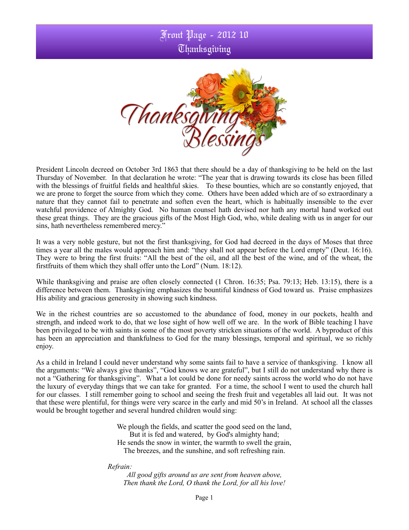## Front Page - 2012 10 Thanksgiving



President Lincoln decreed on October 3rd 1863 that there should be a day of thanksgiving to be held on the last Thursday of November. In that declaration he wrote: "The year that is drawing towards its close has been filled with the blessings of fruitful fields and healthful skies. To these bounties, which are so constantly enjoyed, that we are prone to forget the source from which they come. Others have been added which are of so extraordinary a nature that they cannot fail to penetrate and soften even the heart, which is habitually insensible to the ever watchful providence of Almighty God. No human counsel hath devised nor hath any mortal hand worked out these great things. They are the gracious gifts of the Most High God, who, while dealing with us in anger for our sins, hath nevertheless remembered mercy."

It was a very noble gesture, but not the first thanksgiving, for God had decreed in the days of Moses that three times a year all the males would approach him and: "they shall not appear before the Lord empty" (Deut. 16:16). They were to bring the first fruits: "All the best of the oil, and all the best of the wine, and of the wheat, the firstfruits of them which they shall offer unto the Lord" (Num. 18:12).

While thanksgiving and praise are often closely connected (1 Chron. 16:35; Psa. 79:13; Heb. 13:15), there is a difference between them. Thanksgiving emphasizes the bountiful kindness of God toward us. Praise emphasizes His ability and gracious generosity in showing such kindness.

We in the richest countries are so accustomed to the abundance of food, money in our pockets, health and strength, and indeed work to do, that we lose sight of how well off we are. In the work of Bible teaching I have been privileged to be with saints in some of the most poverty stricken situations of the world. A byproduct of this has been an appreciation and thankfulness to God for the many blessings, temporal and spiritual, we so richly enjoy.

As a child in Ireland I could never understand why some saints fail to have a service of thanksgiving. I know all the arguments: "We always give thanks", "God knows we are grateful", but I still do not understand why there is not a "Gathering for thanksgiving". What a lot could be done for needy saints across the world who do not have the luxury of everyday things that we can take for granted. For a time, the school I went to used the church hall for our classes. I still remember going to school and seeing the fresh fruit and vegetables all laid out. It was not that these were plentiful, for things were very scarce in the early and mid 50's in Ireland. At school all the classes would be brought together and several hundred children would sing:

> We plough the fields, and scatter the good seed on the land, But it is fed and watered, by God's almighty hand; He sends the snow in winter, the warmth to swell the grain, The breezes, and the sunshine, and soft refreshing rain.

 *Refrain:*

*All good gifts around us are sent from heaven above, Then thank the Lord, O thank the Lord, for all his love!*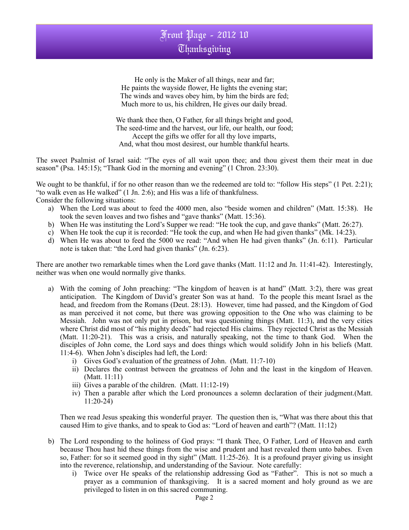

He only is the Maker of all things, near and far; He paints the wayside flower, He lights the evening star; The winds and waves obey him, by him the birds are fed; Much more to us, his children, He gives our daily bread.

We thank thee then, O Father, for all things bright and good, The seed-time and the harvest, our life, our health, our food; Accept the gifts we offer for all thy love imparts, And, what thou most desirest, our humble thankful hearts.

The sweet Psalmist of Israel said: "The eyes of all wait upon thee; and thou givest them their meat in due season" (Psa. 145:15); "Thank God in the morning and evening" (1 Chron. 23:30).

We ought to be thankful, if for no other reason than we the redeemed are told to: "follow His steps" (1 Pet. 2:21); "to walk even as He walked" (1 Jn. 2:6); and His was a life of thankfulness. Consider the following situations:

- a) When the Lord was about to feed the 4000 men, also "beside women and children" (Matt. 15:38). He took the seven loaves and two fishes and "gave thanks" (Matt. 15:36).
- b) When He was instituting the Lord's Supper we read: "He took the cup, and gave thanks" (Matt. 26:27).
- c) When He took the cup it is recorded: "He took the cup, and when He had given thanks" (Mk. 14:23).
- d) When He was about to feed the 5000 we read: "And when He had given thanks" (Jn. 6:11). Particular note is taken that: "the Lord had given thanks" (Jn. 6:23).

There are another two remarkable times when the Lord gave thanks (Matt. 11:12 and Jn. 11:41-42). Interestingly, neither was when one would normally give thanks.

- a) With the coming of John preaching: "The kingdom of heaven is at hand" (Matt. 3:2), there was great anticipation. The Kingdom of David's greater Son was at hand. To the people this meant Israel as the head, and freedom from the Romans (Deut. 28:13). However, time had passed, and the Kingdom of God as man perceived it not come, but there was growing opposition to the One who was claiming to be Messiah. John was not only put in prison, but was questioning things (Matt. 11:3), and the very cities where Christ did most of "his mighty deeds" had rejected His claims. They rejected Christ as the Messiah (Matt. 11:20-21). This was a crisis, and naturally speaking, not the time to thank God. When the disciples of John come, the Lord says and does things which would solidify John in his beliefs (Matt. 11:4-6). When John's disciples had left, the Lord:
	- i) Gives God's evaluation of the greatness of John. (Matt. 11:7-10)
	- ii) Declares the contrast between the greatness of John and the least in the kingdom of Heaven. (Matt. 11:11)
	- iii) Gives a parable of the children. (Matt. 11:12-19)
	- iv) Then a parable after which the Lord pronounces a solemn declaration of their judgment.(Matt. 11:20-24)

Then we read Jesus speaking this wonderful prayer. The question then is, "What was there about this that caused Him to give thanks, and to speak to God as: "Lord of heaven and earth"? (Matt. 11:12)

- b) The Lord responding to the holiness of God prays: "I thank Thee, O Father, Lord of Heaven and earth because Thou hast hid these things from the wise and prudent and hast revealed them unto babes. Even so, Father: for so it seemed good in thy sight" (Matt. 11:25-26). It is a profound prayer giving us insight into the reverence, relationship, and understanding of the Saviour. Note carefully:
	- i) Twice over He speaks of the relationship addressing God as "Father". This is not so much a prayer as a communion of thanksgiving. It is a sacred moment and holy ground as we are privileged to listen in on this sacred communing.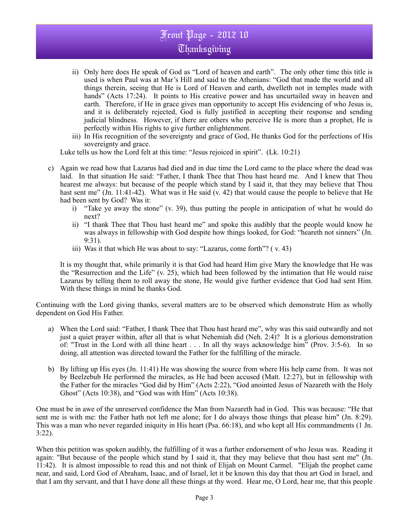## Front Page - 2012 10 **Thanksgiving**

- ii) Only here does He speak of God as "Lord of heaven and earth". The only other time this title is used is when Paul was at Mar's Hill and said to the Athenians: "God that made the world and all things therein, seeing that He is Lord of Heaven and earth, dwelleth not in temples made with hands" (Acts 17:24). It points to His creative power and has uncurtailed sway in heaven and earth. Therefore, if He in grace gives man opportunity to accept His evidencing of who Jesus is, and it is deliberately rejected, God is fully justified in accepting their response and sending judicial blindness. However, if there are others who perceive He is more than a prophet, He is perfectly within His rights to give further enlightenment.
- iii) In His recognition of the sovereignty and grace of God, He thanks God for the perfections of His sovereignty and grace.

Luke tells us how the Lord felt at this time: "Jesus rejoiced in spirit". (Lk. 10:21)

- c) Again we read how that Lazarus had died and in due time the Lord came to the place where the dead was laid. In that situation He said: "Father, I thank Thee that Thou hast heard me. And I knew that Thou hearest me always: but because of the people which stand by I said it, that they may believe that Thou hast sent me" (Jn. 11:41-42). What was it He said (v. 42) that would cause the people to believe that He had been sent by God? Was it:
	- i) "Take ye away the stone" (v. 39), thus putting the people in anticipation of what he would do next?
	- ii) "I thank Thee that Thou hast heard me" and spoke this audibly that the people would know he was always in fellowship with God despite how things looked, for God: "heareth not sinners" (Jn. 9:31).
	- iii) Was it that which He was about to say: "Lazarus, come forth"?  $(v. 43)$

It is my thought that, while primarily it is that God had heard Him give Mary the knowledge that He was the "Resurrection and the Life" (v. 25), which had been followed by the intimation that He would raise Lazarus by telling them to roll away the stone, He would give further evidence that God had sent Him. With these things in mind he thanks God.

Continuing with the Lord giving thanks, several matters are to be observed which demonstrate Him as wholly dependent on God His Father.

- a) When the Lord said: "Father, I thank Thee that Thou hast heard me", why was this said outwardly and not just a quiet prayer within, after all that is what Nehemiah did (Neh. 2:4)? It is a glorious demonstration of: "Trust in the Lord with all thine heart . . . In all thy ways acknowledge him" (Prov. 3:5-6). In so doing, all attention was directed toward the Father for the fulfilling of the miracle.
- b) By lifting up His eyes (Jn. 11:41) He was showing the source from where His help came from. It was not by Beelzebub He performed the miracles, as He had been accused (Matt. 12:27), but in fellowship with the Father for the miracles "God did by Him" (Acts 2:22), "God anointed Jesus of Nazareth with the Holy Ghost" (Acts 10:38), and "God was with Him" (Acts 10:38).

One must be in awe of the unreserved confidence the Man from Nazareth had in God. This was because: "He that sent me is with me: the Father hath not left me alone; for I do always those things that please him" (Jn. 8:29). This was a man who never regarded iniquity in His heart (Psa. 66:18), and who kept all His commandments (1 Jn. 3:22).

When this petition was spoken audibly, the fulfilling of it was a further endorsement of who Jesus was. Reading it again: "But because of the people which stand by I said it, that they may believe that thou hast sent me" (Jn. 11:42). It is almost impossible to read this and not think of Elijah on Mount Carmel. "Elijah the prophet came near, and said, Lord God of Abraham, Isaac, and of Israel, let it be known this day that thou art God in Israel, and that I am thy servant, and that I have done all these things at thy word. Hear me, O Lord, hear me, that this people